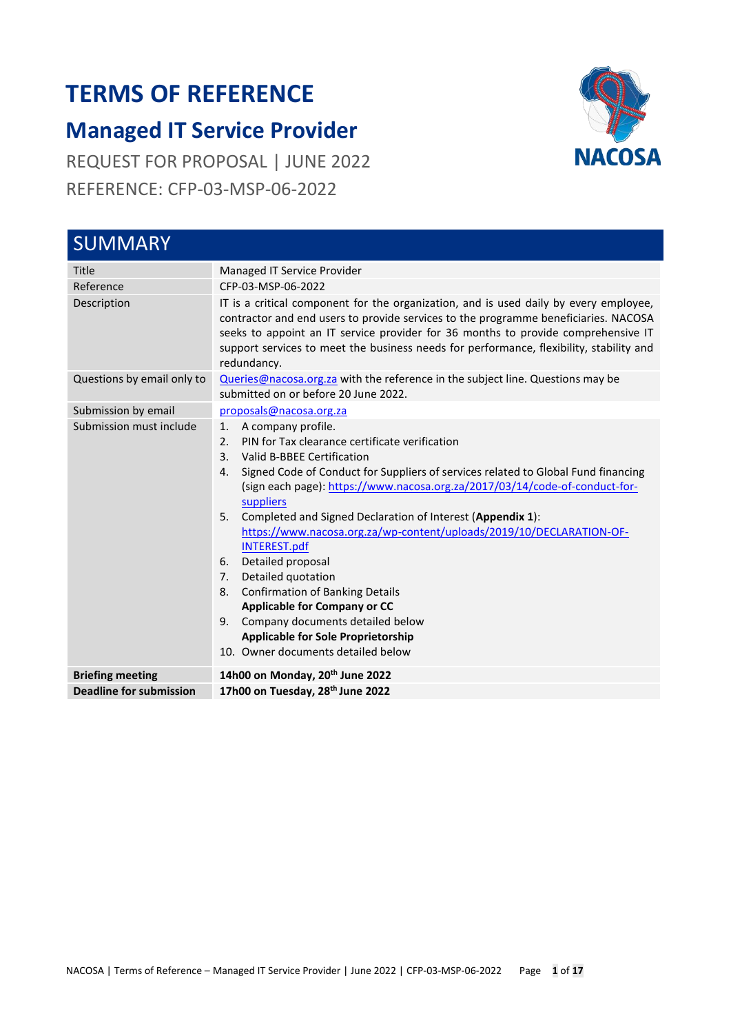# **TERMS OF REFERENCE**

## **Managed IT Service Provider**

REQUEST FOR PROPOSAL | JUNE 2022 REFERENCE: CFP-03-MSP-06-2022

<span id="page-0-0"></span>

| <b>SUMMARY</b>                 |                                                                                                                                                                                                                                                                                                                                                                                                                                                                                                                                                                                                                                                                                                                                                                       |  |  |  |  |
|--------------------------------|-----------------------------------------------------------------------------------------------------------------------------------------------------------------------------------------------------------------------------------------------------------------------------------------------------------------------------------------------------------------------------------------------------------------------------------------------------------------------------------------------------------------------------------------------------------------------------------------------------------------------------------------------------------------------------------------------------------------------------------------------------------------------|--|--|--|--|
| Title                          | Managed IT Service Provider                                                                                                                                                                                                                                                                                                                                                                                                                                                                                                                                                                                                                                                                                                                                           |  |  |  |  |
| Reference                      | CFP-03-MSP-06-2022                                                                                                                                                                                                                                                                                                                                                                                                                                                                                                                                                                                                                                                                                                                                                    |  |  |  |  |
| Description                    | IT is a critical component for the organization, and is used daily by every employee,<br>contractor and end users to provide services to the programme beneficiaries. NACOSA<br>seeks to appoint an IT service provider for 36 months to provide comprehensive IT<br>support services to meet the business needs for performance, flexibility, stability and<br>redundancy.                                                                                                                                                                                                                                                                                                                                                                                           |  |  |  |  |
| Questions by email only to     | Queries@nacosa.org.za with the reference in the subject line. Questions may be<br>submitted on or before 20 June 2022.                                                                                                                                                                                                                                                                                                                                                                                                                                                                                                                                                                                                                                                |  |  |  |  |
| Submission by email            | proposals@nacosa.org.za                                                                                                                                                                                                                                                                                                                                                                                                                                                                                                                                                                                                                                                                                                                                               |  |  |  |  |
| Submission must include        | A company profile.<br>1.<br>PIN for Tax clearance certificate verification<br>2.<br>$\mathbf{3}$ .<br>Valid B-BBEE Certification<br>Signed Code of Conduct for Suppliers of services related to Global Fund financing<br>4.<br>(sign each page): https://www.nacosa.org.za/2017/03/14/code-of-conduct-for-<br>suppliers<br>Completed and Signed Declaration of Interest (Appendix 1):<br>5.<br>https://www.nacosa.org.za/wp-content/uploads/2019/10/DECLARATION-OF-<br><b>INTEREST.pdf</b><br>Detailed proposal<br>6.<br>Detailed quotation<br>7.<br><b>Confirmation of Banking Details</b><br>8.<br><b>Applicable for Company or CC</b><br>Company documents detailed below<br>9.<br><b>Applicable for Sole Proprietorship</b><br>10. Owner documents detailed below |  |  |  |  |
| <b>Briefing meeting</b>        | 14h00 on Monday, 20 <sup>th</sup> June 2022                                                                                                                                                                                                                                                                                                                                                                                                                                                                                                                                                                                                                                                                                                                           |  |  |  |  |
| <b>Deadline for submission</b> | 17h00 on Tuesday, 28th June 2022                                                                                                                                                                                                                                                                                                                                                                                                                                                                                                                                                                                                                                                                                                                                      |  |  |  |  |

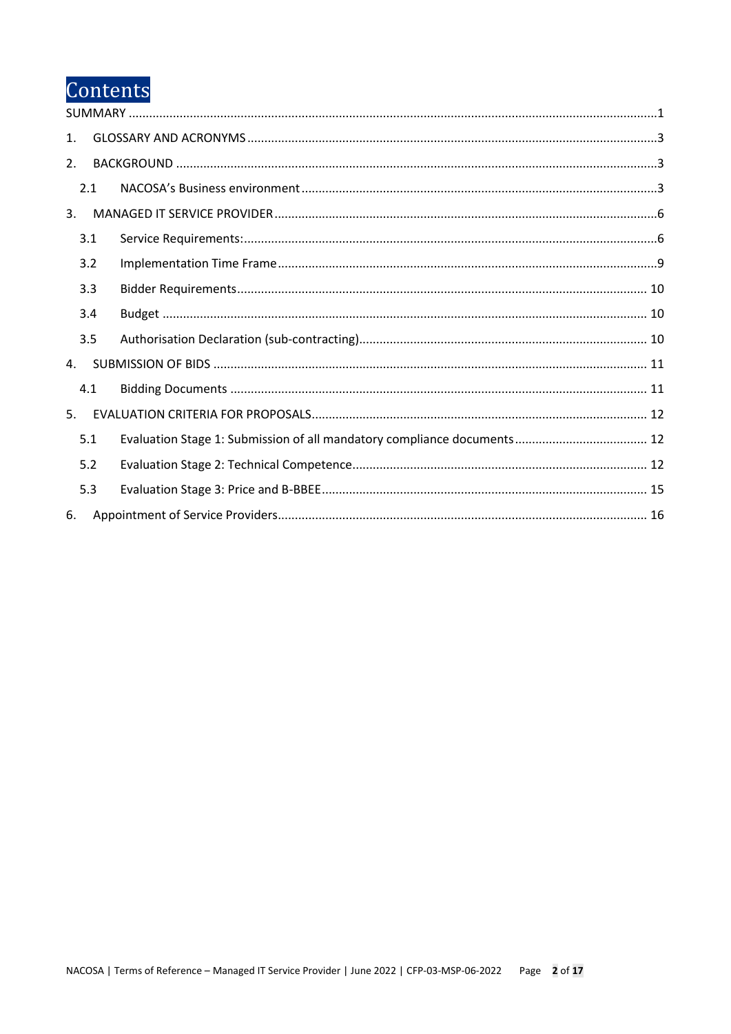# Contents

| $\mathbf{1}$ . |     |  |
|----------------|-----|--|
| 2.             |     |  |
|                | 2.1 |  |
| 3.             |     |  |
|                | 3.1 |  |
|                | 3.2 |  |
|                | 3.3 |  |
|                | 3.4 |  |
|                | 3.5 |  |
| 4.             |     |  |
|                | 4.1 |  |
| 5 <sub>1</sub> |     |  |
|                | 5.1 |  |
|                | 5.2 |  |
|                | 5.3 |  |
| 6.             |     |  |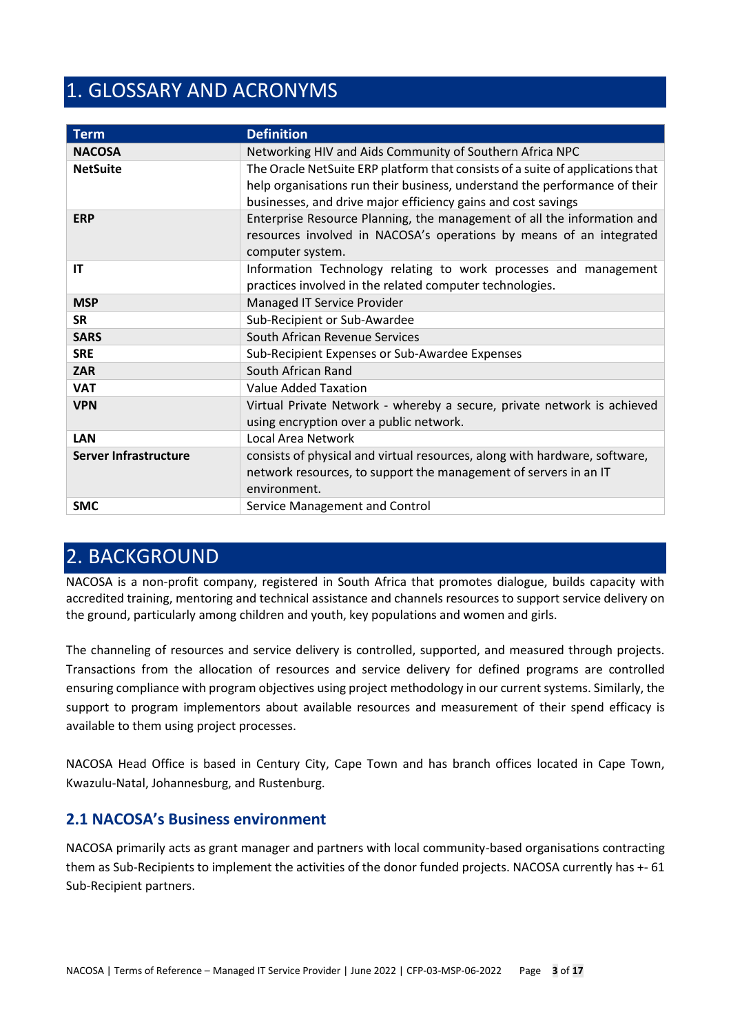## <span id="page-2-0"></span>1. GLOSSARY AND ACRONYMS

| <b>Term</b>                  | <b>Definition</b>                                                              |
|------------------------------|--------------------------------------------------------------------------------|
| <b>NACOSA</b>                | Networking HIV and Aids Community of Southern Africa NPC                       |
| <b>NetSuite</b>              | The Oracle NetSuite ERP platform that consists of a suite of applications that |
|                              | help organisations run their business, understand the performance of their     |
|                              | businesses, and drive major efficiency gains and cost savings                  |
| <b>ERP</b>                   | Enterprise Resource Planning, the management of all the information and        |
|                              | resources involved in NACOSA's operations by means of an integrated            |
|                              | computer system.                                                               |
| IT                           | Information Technology relating to work processes and management               |
|                              | practices involved in the related computer technologies.                       |
| <b>MSP</b>                   | Managed IT Service Provider                                                    |
| <b>SR</b>                    | Sub-Recipient or Sub-Awardee                                                   |
| <b>SARS</b>                  | South African Revenue Services                                                 |
| <b>SRE</b>                   | Sub-Recipient Expenses or Sub-Awardee Expenses                                 |
| <b>ZAR</b>                   | South African Rand                                                             |
| <b>VAT</b>                   | Value Added Taxation                                                           |
| <b>VPN</b>                   | Virtual Private Network - whereby a secure, private network is achieved        |
|                              | using encryption over a public network.                                        |
| <b>LAN</b>                   | <b>Local Area Network</b>                                                      |
| <b>Server Infrastructure</b> | consists of physical and virtual resources, along with hardware, software,     |
|                              | network resources, to support the management of servers in an IT               |
|                              | environment.                                                                   |
| <b>SMC</b>                   | Service Management and Control                                                 |

## <span id="page-2-1"></span>2. BACKGROUND

NACOSA is a non-profit company, registered in South Africa that promotes dialogue, builds capacity with accredited training, mentoring and technical assistance and channels resources to support service delivery on the ground, particularly among children and youth, key populations and women and girls.

The channeling of resources and service delivery is controlled, supported, and measured through projects. Transactions from the allocation of resources and service delivery for defined programs are controlled ensuring compliance with program objectives using project methodology in our current systems. Similarly, the support to program implementors about available resources and measurement of their spend efficacy is available to them using project processes.

NACOSA Head Office is based in Century City, Cape Town and has branch offices located in Cape Town, Kwazulu-Natal, Johannesburg, and Rustenburg.

## <span id="page-2-2"></span>**2.1 NACOSA's Business environment**

NACOSA primarily acts as grant manager and partners with local community-based organisations contracting them as Sub-Recipients to implement the activities of the donor funded projects. NACOSA currently has +- 61 Sub-Recipient partners.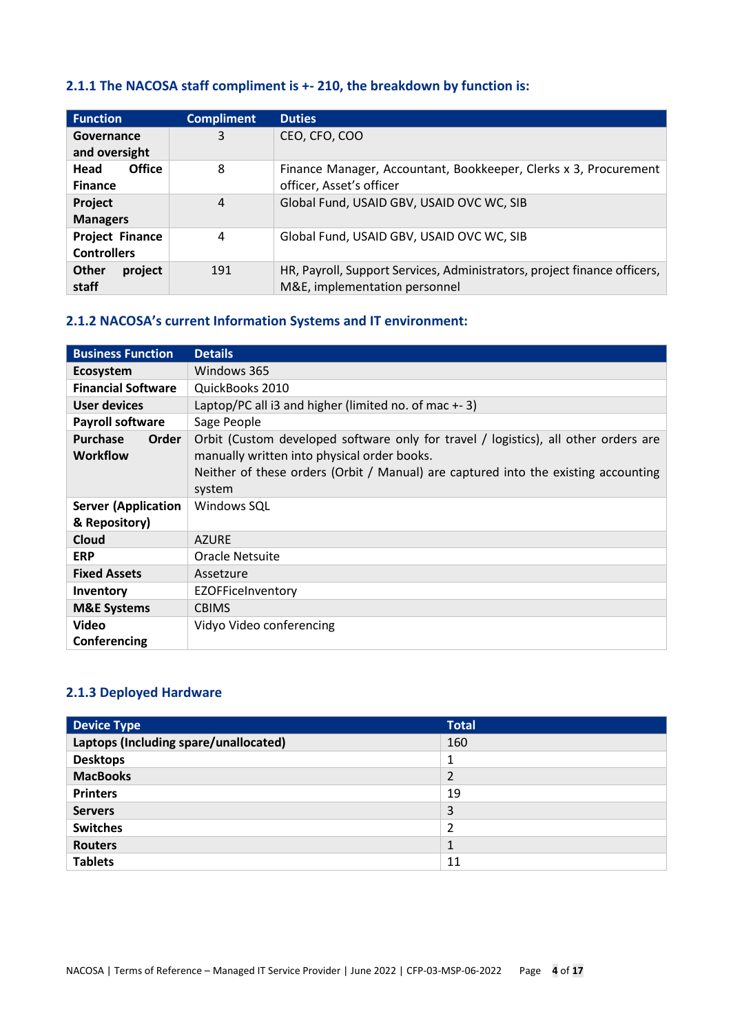## **2.1.1 The NACOSA staff compliment is +- 210, the breakdown by function is:**

| <b>Function</b>                              | <b>Compliment</b> | <b>Duties</b>                                                                                             |
|----------------------------------------------|-------------------|-----------------------------------------------------------------------------------------------------------|
| Governance<br>and oversight                  | 3                 | CEO, CFO, COO                                                                                             |
| <b>Office</b><br>Head<br><b>Finance</b>      | 8                 | Finance Manager, Accountant, Bookkeeper, Clerks x 3, Procurement<br>officer, Asset's officer              |
| <b>Project</b><br><b>Managers</b>            | 4                 | Global Fund, USAID GBV, USAID OVC WC, SIB                                                                 |
| <b>Project Finance</b><br><b>Controllers</b> | 4                 | Global Fund, USAID GBV, USAID OVC WC, SIB                                                                 |
| <b>Other</b><br>project<br>staff             | 191               | HR, Payroll, Support Services, Administrators, project finance officers,<br>M&E, implementation personnel |

## **2.1.2 NACOSA's current Information Systems and IT environment:**

| <b>Business Function</b>                    | <b>Details</b>                                                                                                                                                                                                                     |
|---------------------------------------------|------------------------------------------------------------------------------------------------------------------------------------------------------------------------------------------------------------------------------------|
| <b>Ecosystem</b>                            | Windows 365                                                                                                                                                                                                                        |
| <b>Financial Software</b>                   | QuickBooks 2010                                                                                                                                                                                                                    |
| User devices                                | Laptop/PC all i3 and higher (limited no. of mac $+ - 3$ )                                                                                                                                                                          |
| <b>Payroll software</b>                     | Sage People                                                                                                                                                                                                                        |
| <b>Purchase</b><br>Order<br><b>Workflow</b> | Orbit (Custom developed software only for travel / logistics), all other orders are<br>manually written into physical order books.<br>Neither of these orders (Orbit / Manual) are captured into the existing accounting<br>system |
| <b>Server (Application</b><br>& Repository) | Windows SQL                                                                                                                                                                                                                        |
| Cloud                                       | <b>AZURE</b>                                                                                                                                                                                                                       |
| <b>ERP</b>                                  | Oracle Netsuite                                                                                                                                                                                                                    |
| <b>Fixed Assets</b>                         | Assetzure                                                                                                                                                                                                                          |
| Inventory                                   | <b>EZOFFiceInventory</b>                                                                                                                                                                                                           |
| <b>M&amp;E Systems</b>                      | <b>CBIMS</b>                                                                                                                                                                                                                       |
| <b>Video</b>                                | Vidyo Video conferencing                                                                                                                                                                                                           |
| Conferencing                                |                                                                                                                                                                                                                                    |

### **2.1.3 Deployed Hardware**

| <b>Device Type</b>                    | <b>Total</b>   |
|---------------------------------------|----------------|
| Laptops (Including spare/unallocated) | 160            |
| <b>Desktops</b>                       | 1              |
| <b>MacBooks</b>                       | $\overline{2}$ |
| <b>Printers</b>                       | 19             |
| <b>Servers</b>                        | 3              |
| <b>Switches</b>                       | $\mathcal{P}$  |
| <b>Routers</b>                        |                |
| <b>Tablets</b>                        | 11             |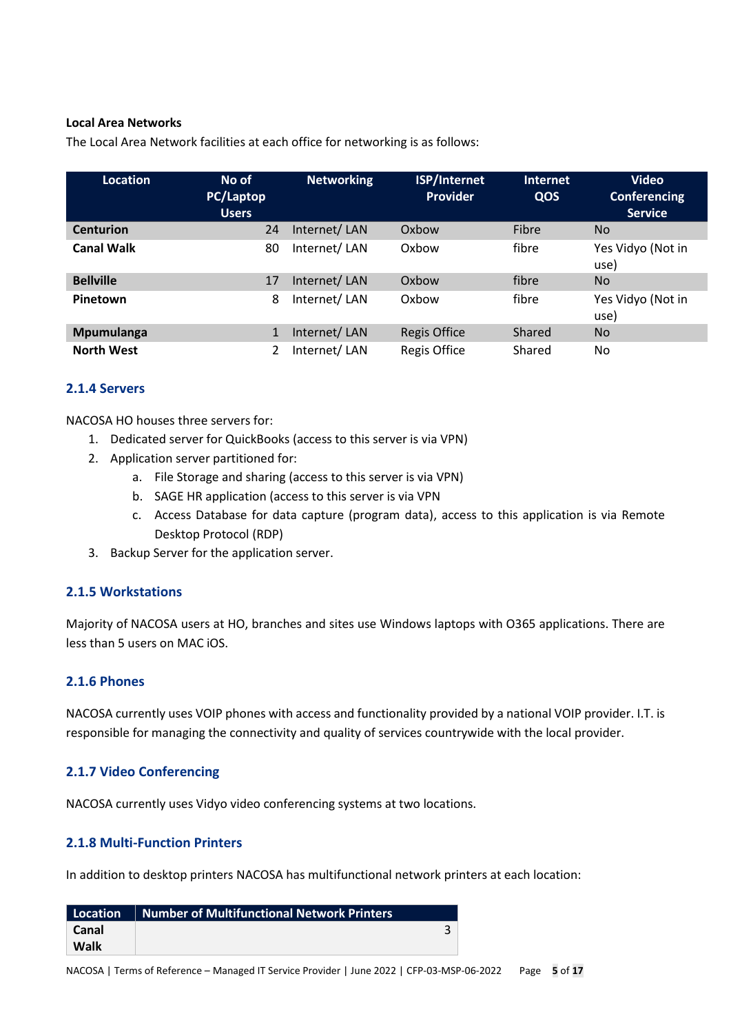#### **Local Area Networks**

The Local Area Network facilities at each office for networking is as follows:

| <b>Location</b>   | No of<br>PC/Laptop<br><b>Users</b> | <b>Networking</b> | <b>ISP/Internet</b><br><b>Provider</b> | <b>Internet</b><br>QOS | <b>Video</b><br><b>Conferencing</b><br><b>Service</b> |
|-------------------|------------------------------------|-------------------|----------------------------------------|------------------------|-------------------------------------------------------|
| <b>Centurion</b>  | 24                                 | Internet/LAN      | Oxbow                                  | Fibre                  | <b>No</b>                                             |
| <b>Canal Walk</b> | 80                                 | Internet/LAN      | Oxbow                                  | fibre                  | Yes Vidyo (Not in<br>use)                             |
| <b>Bellville</b>  | 17                                 | Internet/LAN      | Oxbow                                  | fibre                  | <b>No</b>                                             |
| Pinetown          | 8                                  | Internet/LAN      | Oxbow                                  | fibre                  | Yes Vidyo (Not in<br>use)                             |
| Mpumulanga        | 1                                  | Internet/LAN      | <b>Regis Office</b>                    | Shared                 | <b>No</b>                                             |
| <b>North West</b> |                                    | Internet/LAN      | <b>Regis Office</b>                    | Shared                 | No                                                    |

### **2.1.4 Servers**

NACOSA HO houses three servers for:

- 1. Dedicated server for QuickBooks (access to this server is via VPN)
- 2. Application server partitioned for:
	- a. File Storage and sharing (access to this server is via VPN)
	- b. SAGE HR application (access to this server is via VPN
	- c. Access Database for data capture (program data), access to this application is via Remote Desktop Protocol (RDP)
- 3. Backup Server for the application server.

### **2.1.5 Workstations**

Majority of NACOSA users at HO, branches and sites use Windows laptops with O365 applications. There are less than 5 users on MAC iOS.

### **2.1.6 Phones**

NACOSA currently uses VOIP phones with access and functionality provided by a national VOIP provider. I.T. is responsible for managing the connectivity and quality of services countrywide with the local provider.

### **2.1.7 Video Conferencing**

NACOSA currently uses Vidyo video conferencing systems at two locations.

### **2.1.8 Multi-Function Printers**

In addition to desktop printers NACOSA has multifunctional network printers at each location:

| Location | Number of Multifunctional Network Printers |  |
|----------|--------------------------------------------|--|
| Canal    |                                            |  |
| Walk     |                                            |  |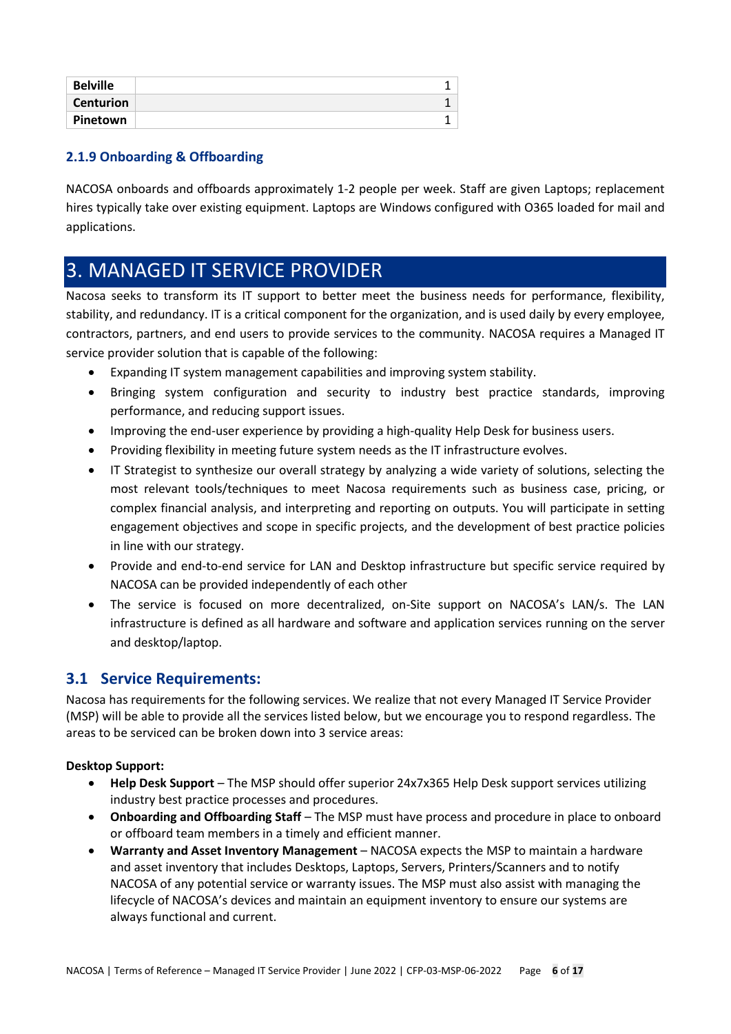| <b>Belville</b>  |  |
|------------------|--|
| <b>Centurion</b> |  |
| Pinetown         |  |

### **2.1.9 Onboarding & Offboarding**

NACOSA onboards and offboards approximately 1-2 people per week. Staff are given Laptops; replacement hires typically take over existing equipment. Laptops are Windows configured with O365 loaded for mail and applications.

## <span id="page-5-0"></span>3. MANAGED IT SERVICE PROVIDER

Nacosa seeks to transform its IT support to better meet the business needs for performance, flexibility, stability, and redundancy. IT is a critical component for the organization, and is used daily by every employee, contractors, partners, and end users to provide services to the community. NACOSA requires a Managed IT service provider solution that is capable of the following:

- Expanding IT system management capabilities and improving system stability.
- Bringing system configuration and security to industry best practice standards, improving performance, and reducing support issues.
- Improving the end-user experience by providing a high-quality Help Desk for business users.
- Providing flexibility in meeting future system needs as the IT infrastructure evolves.
- IT Strategist to synthesize our overall strategy by analyzing a wide variety of solutions, selecting the most relevant tools/techniques to meet Nacosa requirements such as business case, pricing, or complex financial analysis, and interpreting and reporting on outputs. You will participate in setting engagement objectives and scope in specific projects, and the development of best practice policies in line with our strategy.
- Provide and end-to-end service for LAN and Desktop infrastructure but specific service required by NACOSA can be provided independently of each other
- The service is focused on more decentralized, on-Site support on NACOSA's LAN/s. The LAN infrastructure is defined as all hardware and software and application services running on the server and desktop/laptop.

## <span id="page-5-1"></span>**3.1 Service Requirements:**

Nacosa has requirements for the following services. We realize that not every Managed IT Service Provider (MSP) will be able to provide all the services listed below, but we encourage you to respond regardless. The areas to be serviced can be broken down into 3 service areas:

### **Desktop Support:**

- **Help Desk Support** The MSP should offer superior 24x7x365 Help Desk support services utilizing industry best practice processes and procedures.
- **Onboarding and Offboarding Staff**  The MSP must have process and procedure in place to onboard or offboard team members in a timely and efficient manner.
- **Warranty and Asset Inventory Management** NACOSA expects the MSP to maintain a hardware and asset inventory that includes Desktops, Laptops, Servers, Printers/Scanners and to notify NACOSA of any potential service or warranty issues. The MSP must also assist with managing the lifecycle of NACOSA's devices and maintain an equipment inventory to ensure our systems are always functional and current.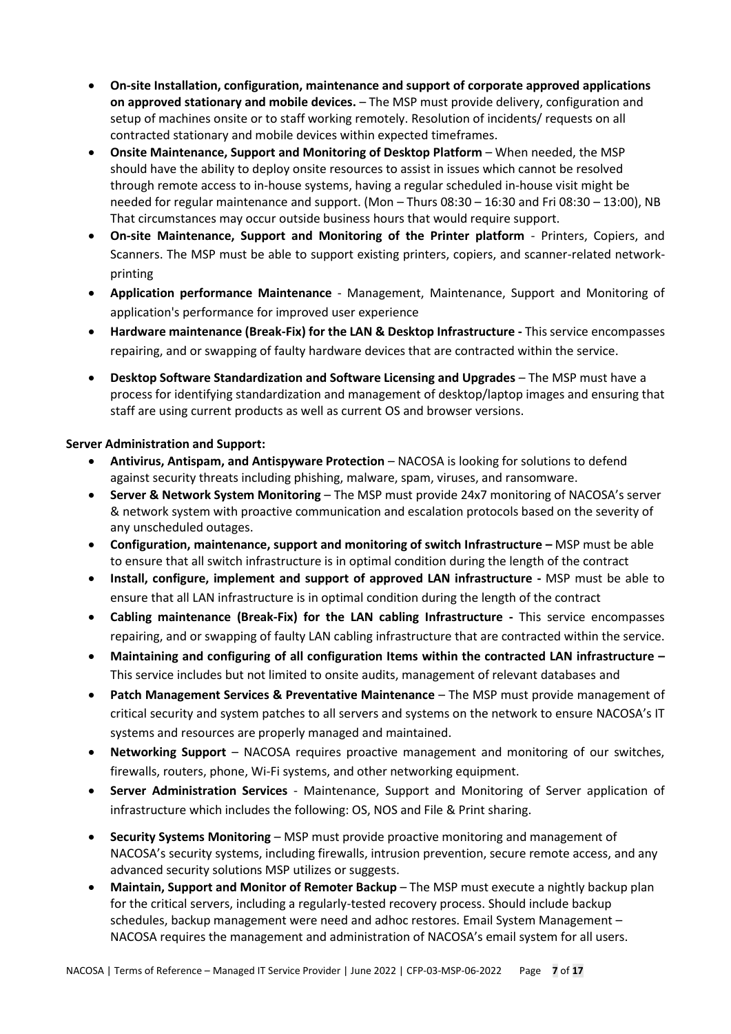- **On-site Installation, configuration, maintenance and support of corporate approved applications on approved stationary and mobile devices.** – The MSP must provide delivery, configuration and setup of machines onsite or to staff working remotely. Resolution of incidents/ requests on all contracted stationary and mobile devices within expected timeframes.
- **Onsite Maintenance, Support and Monitoring of Desktop Platform** When needed, the MSP should have the ability to deploy onsite resources to assist in issues which cannot be resolved through remote access to in-house systems, having a regular scheduled in-house visit might be needed for regular maintenance and support. (Mon – Thurs 08:30 – 16:30 and Fri 08:30 – 13:00), NB That circumstances may occur outside business hours that would require support.
- **On-site Maintenance, Support and Monitoring of the Printer platform** Printers, Copiers, and Scanners. The MSP must be able to support existing printers, copiers, and scanner-related networkprinting
- **Application performance Maintenance** Management, Maintenance, Support and Monitoring of application's performance for improved user experience
- **Hardware maintenance (Break-Fix) for the LAN & Desktop Infrastructure -** This service encompasses repairing, and or swapping of faulty hardware devices that are contracted within the service.
- **Desktop Software Standardization and Software Licensing and Upgrades** The MSP must have a process for identifying standardization and management of desktop/laptop images and ensuring that staff are using current products as well as current OS and browser versions.

### **Server Administration and Support:**

- **Antivirus, Antispam, and Antispyware Protection** NACOSA is looking for solutions to defend against security threats including phishing, malware, spam, viruses, and ransomware.
- **Server & Network System Monitoring** The MSP must provide 24x7 monitoring of NACOSA's server & network system with proactive communication and escalation protocols based on the severity of any unscheduled outages.
- **Configuration, maintenance, support and monitoring of switch Infrastructure –** MSP must be able to ensure that all switch infrastructure is in optimal condition during the length of the contract
- **Install, configure, implement and support of approved LAN infrastructure -** MSP must be able to ensure that all LAN infrastructure is in optimal condition during the length of the contract
- **Cabling maintenance (Break-Fix) for the LAN cabling Infrastructure -** This service encompasses repairing, and or swapping of faulty LAN cabling infrastructure that are contracted within the service.
- **Maintaining and configuring of all configuration Items within the contracted LAN infrastructure –** This service includes but not limited to onsite audits, management of relevant databases and
- **Patch Management Services & Preventative Maintenance** The MSP must provide management of critical security and system patches to all servers and systems on the network to ensure NACOSA's IT systems and resources are properly managed and maintained.
- **Networking Support** NACOSA requires proactive management and monitoring of our switches, firewalls, routers, phone, Wi-Fi systems, and other networking equipment.
- **Server Administration Services** Maintenance, Support and Monitoring of Server application of infrastructure which includes the following: OS, NOS and File & Print sharing.
- **Security Systems Monitoring** MSP must provide proactive monitoring and management of NACOSA's security systems, including firewalls, intrusion prevention, secure remote access, and any advanced security solutions MSP utilizes or suggests.
- **Maintain, Support and Monitor of Remoter Backup** The MSP must execute a nightly backup plan for the critical servers, including a regularly-tested recovery process. Should include backup schedules, backup management were need and adhoc restores. Email System Management – NACOSA requires the management and administration of NACOSA's email system for all users.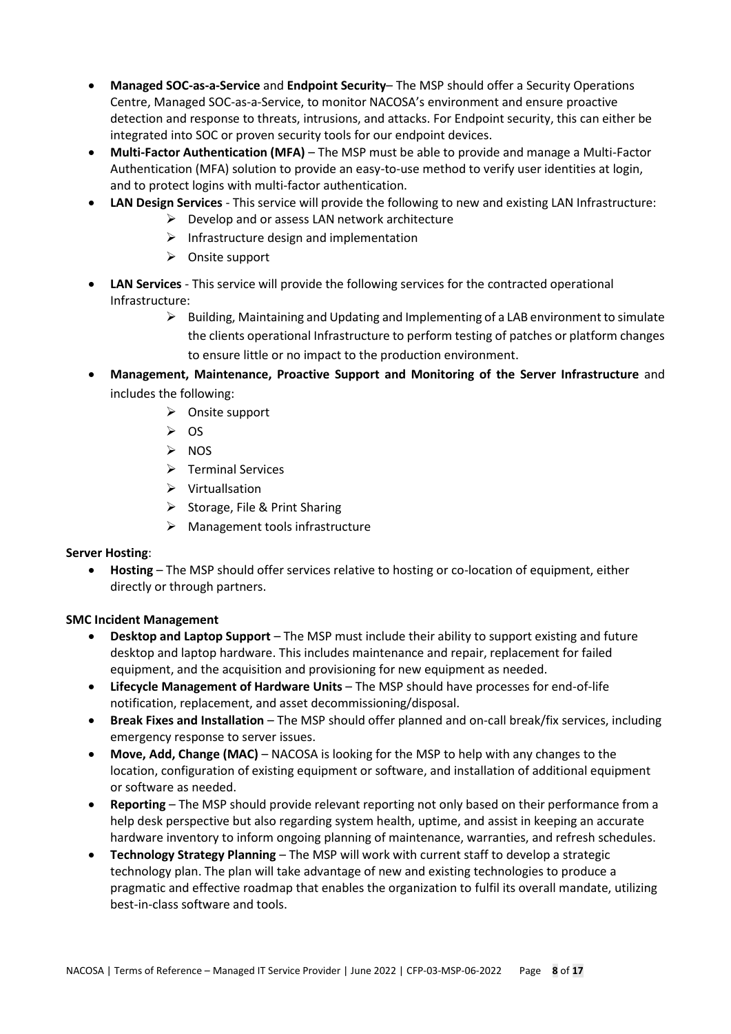- **Managed SOC-as-a-Service** and **Endpoint Security** The MSP should offer a Security Operations Centre, Managed SOC-as-a-Service, to monitor NACOSA's environment and ensure proactive detection and response to threats, intrusions, and attacks. For Endpoint security, this can either be integrated into SOC or proven security tools for our endpoint devices.
- **Multi-Factor Authentication (MFA)** The MSP must be able to provide and manage a Multi-Factor Authentication (MFA) solution to provide an easy-to-use method to verify user identities at login, and to protect logins with multi-factor authentication.
- **LAN Design Services**  This service will provide the following to new and existing LAN Infrastructure:
	- $\triangleright$  Develop and or assess LAN network architecture
	- ➢ Infrastructure design and implementation
	- ➢ Onsite support
- **LAN Services** This service will provide the following services for the contracted operational Infrastructure:
	- $\triangleright$  Building, Maintaining and Updating and Implementing of a LAB environment to simulate the clients operational Infrastructure to perform testing of patches or platform changes to ensure little or no impact to the production environment.
- **Management, Maintenance, Proactive Support and Monitoring of the Server Infrastructure** and includes the following:
	- ➢ Onsite support
	- $\geqslant$  OS
	- ➢ NOS
	- ➢ Terminal Services
	- ➢ Virtuallsation
	- ➢ Storage, File & Print Sharing
	- $\triangleright$  Management tools infrastructure

#### **Server Hosting**:

• **Hosting** – The MSP should offer services relative to hosting or co-location of equipment, either directly or through partners.

#### **SMC Incident Management**

- **Desktop and Laptop Support** The MSP must include their ability to support existing and future desktop and laptop hardware. This includes maintenance and repair, replacement for failed equipment, and the acquisition and provisioning for new equipment as needed.
- **Lifecycle Management of Hardware Units** The MSP should have processes for end-of-life notification, replacement, and asset decommissioning/disposal.
- **Break Fixes and Installation** The MSP should offer planned and on-call break/fix services, including emergency response to server issues.
- **Move, Add, Change (MAC)** NACOSA is looking for the MSP to help with any changes to the location, configuration of existing equipment or software, and installation of additional equipment or software as needed.
- **Reporting**  The MSP should provide relevant reporting not only based on their performance from a help desk perspective but also regarding system health, uptime, and assist in keeping an accurate hardware inventory to inform ongoing planning of maintenance, warranties, and refresh schedules.
- **Technology Strategy Planning** The MSP will work with current staff to develop a strategic technology plan. The plan will take advantage of new and existing technologies to produce a pragmatic and effective roadmap that enables the organization to fulfil its overall mandate, utilizing best-in-class software and tools.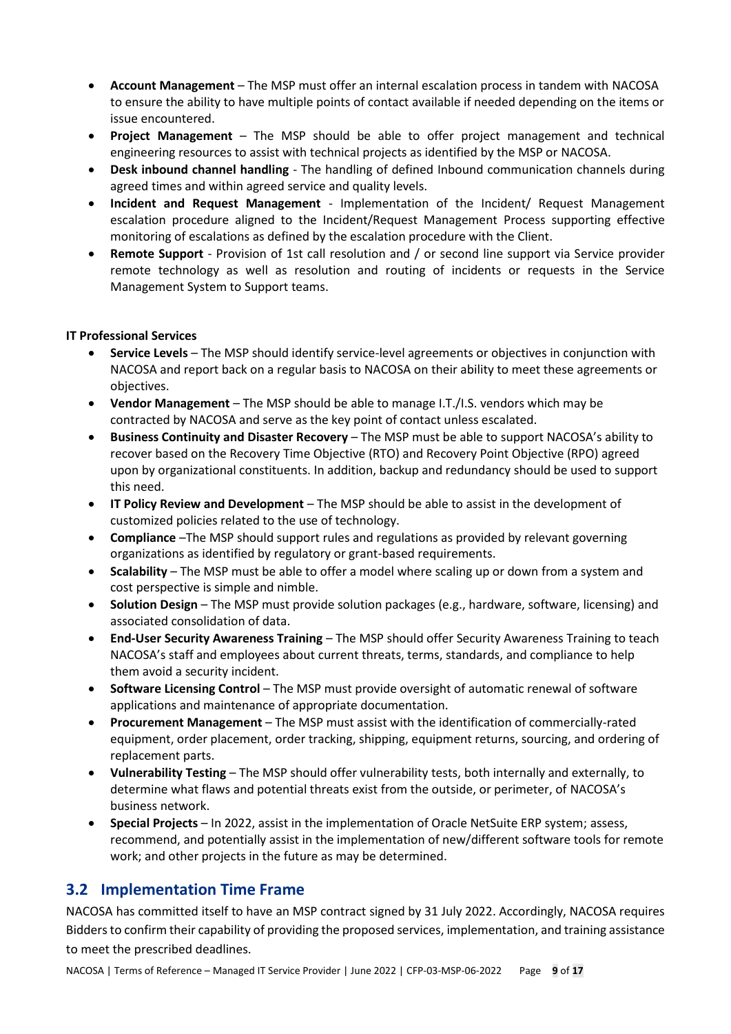- **Account Management** The MSP must offer an internal escalation process in tandem with NACOSA to ensure the ability to have multiple points of contact available if needed depending on the items or issue encountered.
- **Project Management** The MSP should be able to offer project management and technical engineering resources to assist with technical projects as identified by the MSP or NACOSA.
- **Desk inbound channel handling** The handling of defined Inbound communication channels during agreed times and within agreed service and quality levels.
- **Incident and Request Management** Implementation of the Incident/ Request Management escalation procedure aligned to the Incident/Request Management Process supporting effective monitoring of escalations as defined by the escalation procedure with the Client.
- **Remote Support**  Provision of 1st call resolution and / or second line support via Service provider remote technology as well as resolution and routing of incidents or requests in the Service Management System to Support teams.

#### **IT Professional Services**

- **Service Levels** The MSP should identify service-level agreements or objectives in conjunction with NACOSA and report back on a regular basis to NACOSA on their ability to meet these agreements or objectives.
- **Vendor Management** The MSP should be able to manage I.T./I.S. vendors which may be contracted by NACOSA and serve as the key point of contact unless escalated.
- **Business Continuity and Disaster Recovery** The MSP must be able to support NACOSA's ability to recover based on the Recovery Time Objective (RTO) and Recovery Point Objective (RPO) agreed upon by organizational constituents. In addition, backup and redundancy should be used to support this need.
- **IT Policy Review and Development** The MSP should be able to assist in the development of customized policies related to the use of technology.
- **Compliance** –The MSP should support rules and regulations as provided by relevant governing organizations as identified by regulatory or grant-based requirements.
- **Scalability** The MSP must be able to offer a model where scaling up or down from a system and cost perspective is simple and nimble.
- **Solution Design** The MSP must provide solution packages (e.g., hardware, software, licensing) and associated consolidation of data.
- **End-User Security Awareness Training** The MSP should offer Security Awareness Training to teach NACOSA's staff and employees about current threats, terms, standards, and compliance to help them avoid a security incident.
- **Software Licensing Control** The MSP must provide oversight of automatic renewal of software applications and maintenance of appropriate documentation.
- **Procurement Management** The MSP must assist with the identification of commercially-rated equipment, order placement, order tracking, shipping, equipment returns, sourcing, and ordering of replacement parts.
- **Vulnerability Testing** The MSP should offer vulnerability tests, both internally and externally, to determine what flaws and potential threats exist from the outside, or perimeter, of NACOSA's business network.
- **Special Projects** In 2022, assist in the implementation of Oracle NetSuite ERP system; assess, recommend, and potentially assist in the implementation of new/different software tools for remote work; and other projects in the future as may be determined.

## <span id="page-8-0"></span>**3.2 Implementation Time Frame**

NACOSA has committed itself to have an MSP contract signed by 31 July 2022. Accordingly, NACOSA requires Bidders to confirm their capability of providing the proposed services, implementation, and training assistance to meet the prescribed deadlines.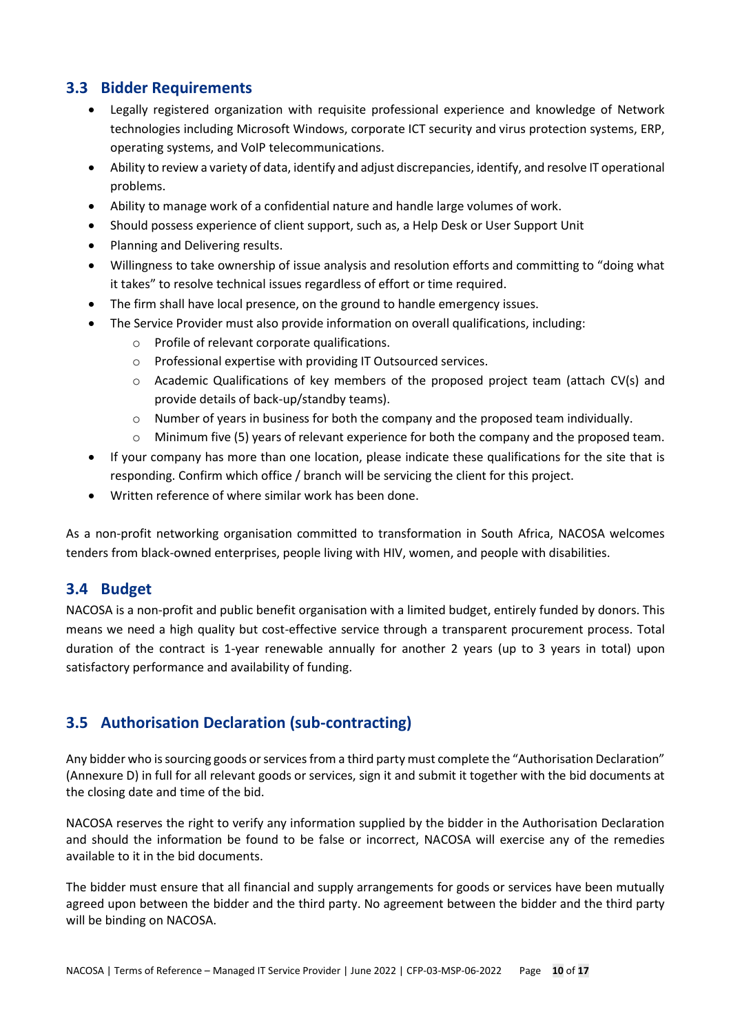## <span id="page-9-0"></span>**3.3 Bidder Requirements**

- Legally registered organization with requisite professional experience and knowledge of Network technologies including Microsoft Windows, corporate ICT security and virus protection systems, ERP, operating systems, and VoIP telecommunications.
- Ability to review a variety of data, identify and adjust discrepancies, identify, and resolve IT operational problems.
- Ability to manage work of a confidential nature and handle large volumes of work.
- Should possess experience of client support, such as, a Help Desk or User Support Unit
- Planning and Delivering results.
- Willingness to take ownership of issue analysis and resolution efforts and committing to "doing what it takes" to resolve technical issues regardless of effort or time required.
- The firm shall have local presence, on the ground to handle emergency issues.
- The Service Provider must also provide information on overall qualifications, including:
	- o Profile of relevant corporate qualifications.
	- o Professional expertise with providing IT Outsourced services.
	- o Academic Qualifications of key members of the proposed project team (attach CV(s) and provide details of back-up/standby teams).
	- o Number of years in business for both the company and the proposed team individually.
	- $\circ$  Minimum five (5) years of relevant experience for both the company and the proposed team.
- If your company has more than one location, please indicate these qualifications for the site that is responding. Confirm which office / branch will be servicing the client for this project.
- Written reference of where similar work has been done.

As a non-profit networking organisation committed to transformation in South Africa, NACOSA welcomes tenders from black-owned enterprises, people living with HIV, women, and people with disabilities.

### <span id="page-9-1"></span>**3.4 Budget**

NACOSA is a non-profit and public benefit organisation with a limited budget, entirely funded by donors. This means we need a high quality but cost-effective service through a transparent procurement process. Total duration of the contract is 1-year renewable annually for another 2 years (up to 3 years in total) upon satisfactory performance and availability of funding.

## <span id="page-9-2"></span>**3.5 Authorisation Declaration (sub-contracting)**

Any bidder who is sourcing goods or services from a third party must complete the "Authorisation Declaration" (Annexure D) in full for all relevant goods or services, sign it and submit it together with the bid documents at the closing date and time of the bid.

NACOSA reserves the right to verify any information supplied by the bidder in the Authorisation Declaration and should the information be found to be false or incorrect, NACOSA will exercise any of the remedies available to it in the bid documents.

The bidder must ensure that all financial and supply arrangements for goods or services have been mutually agreed upon between the bidder and the third party. No agreement between the bidder and the third party will be binding on NACOSA.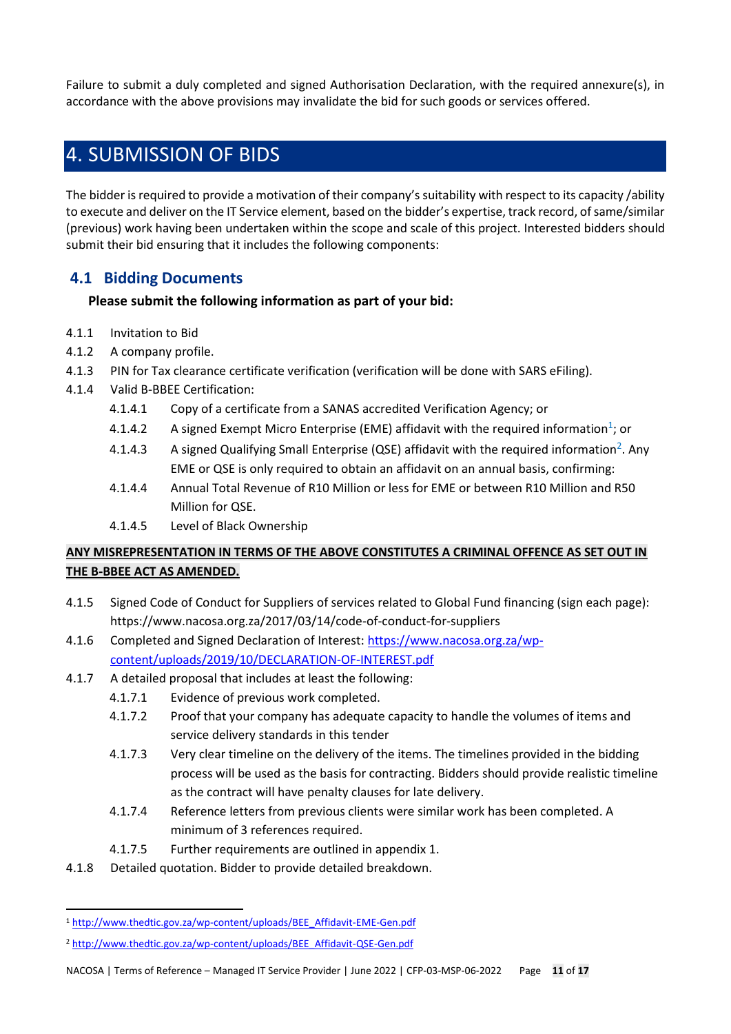Failure to submit a duly completed and signed Authorisation Declaration, with the required annexure(s), in accordance with the above provisions may invalidate the bid for such goods or services offered.

## <span id="page-10-0"></span>4. SUBMISSION OF BIDS

The bidder is required to provide a motivation of their company's suitability with respect to its capacity /ability to execute and deliver on the IT Service element, based on the bidder's expertise, track record, of same/similar (previous) work having been undertaken within the scope and scale of this project. Interested bidders should submit their bid ensuring that it includes the following components:

## <span id="page-10-1"></span>**4.1 Bidding Documents**

### **Please submit the following information as part of your bid:**

- 4.1.1 Invitation to Bid
- 4.1.2 A company profile.
- 4.1.3 PIN for Tax clearance certificate verification (verification will be done with SARS eFiling).
- 4.1.4 Valid B-BBEE Certification:
	- 4.1.4.1 Copy of a certificate from a SANAS accredited Verification Agency; or
	- 4.1.4.2 A signed Exempt Micro Enterprise (EME) affidavit with the required information<sup>1</sup>; or
	- 4.1.4.3 A signed Qualifying Small Enterprise (QSE) affidavit with the required information<sup>2</sup>. Any EME or QSE is only required to obtain an affidavit on an annual basis, confirming:
	- 4.1.4.4 Annual Total Revenue of R10 Million or less for EME or between R10 Million and R50 Million for QSE.
	- 4.1.4.5 Level of Black Ownership

## **ANY MISREPRESENTATION IN TERMS OF THE ABOVE CONSTITUTES A CRIMINAL OFFENCE AS SET OUT IN THE B-BBEE ACT AS AMENDED.**

- 4.1.5 Signed Code of Conduct for Suppliers of services related to Global Fund financing (sign each page): https://www.nacosa.org.za/2017/03/14/code-of-conduct-for-suppliers
- 4.1.6 Completed and Signed Declaration of Interest: [https://www.nacosa.org.za/wp](https://www.nacosa.org.za/wp-content/uploads/2019/10/DECLARATION-OF-INTEREST.pdf)[content/uploads/2019/10/DECLARATION-OF-INTEREST.pdf](https://www.nacosa.org.za/wp-content/uploads/2019/10/DECLARATION-OF-INTEREST.pdf)
- 4.1.7 A detailed proposal that includes at least the following:
	- 4.1.7.1 Evidence of previous work completed.
	- 4.1.7.2 Proof that your company has adequate capacity to handle the volumes of items and service delivery standards in this tender
	- 4.1.7.3 Very clear timeline on the delivery of the items. The timelines provided in the bidding process will be used as the basis for contracting. Bidders should provide realistic timeline as the contract will have penalty clauses for late delivery.
	- 4.1.7.4 Reference letters from previous clients were similar work has been completed. A minimum of 3 references required.
	- 4.1.7.5 Further requirements are outlined in appendix 1.
- 4.1.8 Detailed quotation. Bidder to provide detailed breakdown.

 $\overline{a}$ 

<sup>1</sup> [http://www.thedtic.gov.za/wp-content/uploads/BEE\\_Affidavit-EME-Gen.pdf](http://www.thedtic.gov.za/wp-content/uploads/BEE_Affidavit-EME-Gen.pdf)

<sup>2</sup> [http://www.thedtic.gov.za/wp-content/uploads/BEE\\_Affidavit-QSE-Gen.pdf](http://www.thedtic.gov.za/wp-content/uploads/BEE_Affidavit-QSE-Gen.pdf)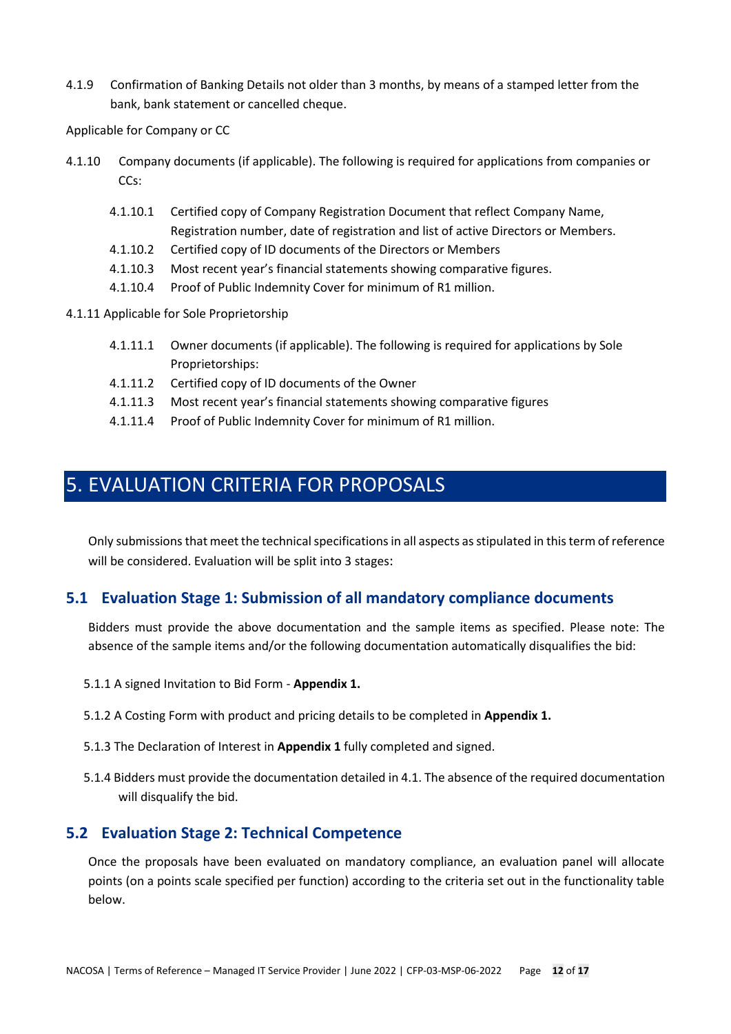4.1.9 Confirmation of Banking Details not older than 3 months, by means of a stamped letter from the bank, bank statement or cancelled cheque.

Applicable for Company or CC

- 4.1.10 Company documents (if applicable). The following is required for applications from companies or CCs:
	- 4.1.10.1 Certified copy of Company Registration Document that reflect Company Name, Registration number, date of registration and list of active Directors or Members.
	- 4.1.10.2 Certified copy of ID documents of the Directors or Members
	- 4.1.10.3 Most recent year's financial statements showing comparative figures.
	- 4.1.10.4 Proof of Public Indemnity Cover for minimum of R1 million.
- 4.1.11 Applicable for Sole Proprietorship
	- 4.1.11.1 Owner documents (if applicable). The following is required for applications by Sole Proprietorships:
	- 4.1.11.2 Certified copy of ID documents of the Owner
	- 4.1.11.3 Most recent year's financial statements showing comparative figures
	- 4.1.11.4 Proof of Public Indemnity Cover for minimum of R1 million.

## <span id="page-11-0"></span>5. EVALUATION CRITERIA FOR PROPOSALS

Only submissions that meet the technical specifications in all aspects as stipulated in this term of reference will be considered. Evaluation will be split into 3 stages:

### <span id="page-11-1"></span>**5.1 Evaluation Stage 1: Submission of all mandatory compliance documents**

Bidders must provide the above documentation and the sample items as specified. Please note: The absence of the sample items and/or the following documentation automatically disqualifies the bid:

- 5.1.1 A signed Invitation to Bid Form **Appendix 1.**
- 5.1.2 A Costing Form with product and pricing details to be completed in **Appendix 1.**
- 5.1.3 The Declaration of Interest in **Appendix 1** fully completed and signed.
- 5.1.4 Bidders must provide the documentation detailed in 4.1. The absence of the required documentation will disqualify the bid.

### <span id="page-11-2"></span>**5.2 Evaluation Stage 2: Technical Competence**

Once the proposals have been evaluated on mandatory compliance, an evaluation panel will allocate points (on a points scale specified per function) according to the criteria set out in the functionality table below.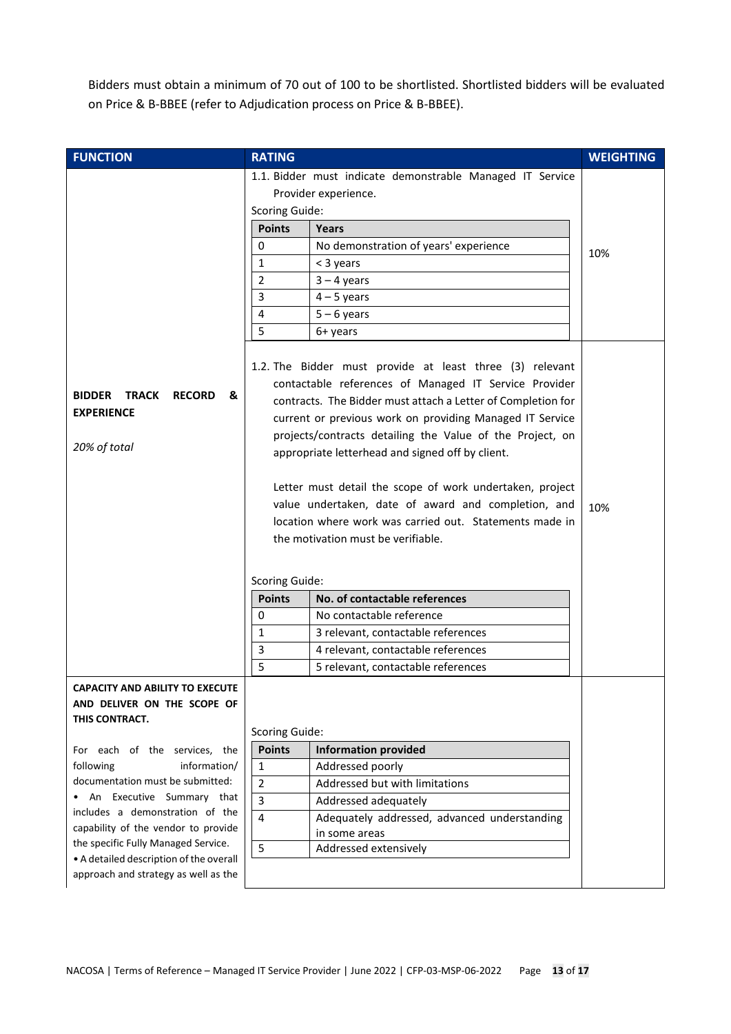Bidders must obtain a minimum of 70 out of 100 to be shortlisted. Shortlisted bidders will be evaluated on Price & B-BBEE (refer to Adjudication process on Price & B-BBEE).

| <b>FUNCTION</b>                                                                                                                                                                                                                                                                                                                 | <b>RATING</b>                                                                                                                                                                                                                                                                                                                                                                                                                                                                                                                                   | <b>WEIGHTING</b> |
|---------------------------------------------------------------------------------------------------------------------------------------------------------------------------------------------------------------------------------------------------------------------------------------------------------------------------------|-------------------------------------------------------------------------------------------------------------------------------------------------------------------------------------------------------------------------------------------------------------------------------------------------------------------------------------------------------------------------------------------------------------------------------------------------------------------------------------------------------------------------------------------------|------------------|
|                                                                                                                                                                                                                                                                                                                                 | 1.1. Bidder must indicate demonstrable Managed IT Service<br>Provider experience.<br><b>Scoring Guide:</b>                                                                                                                                                                                                                                                                                                                                                                                                                                      |                  |
|                                                                                                                                                                                                                                                                                                                                 | <b>Points</b><br>Years<br>No demonstration of years' experience<br>0<br>1<br>< 3 years<br>$\overline{2}$<br>$3 - 4$ years<br>3<br>$4 - 5$ years<br>$5 - 6$ years<br>4<br>5<br>6+ years<br>1.2. The Bidder must provide at least three (3) relevant                                                                                                                                                                                                                                                                                              | 10%              |
| <b>BIDDER TRACK</b><br><b>RECORD</b><br>&<br><b>EXPERIENCE</b><br>20% of total                                                                                                                                                                                                                                                  | contactable references of Managed IT Service Provider<br>contracts. The Bidder must attach a Letter of Completion for<br>current or previous work on providing Managed IT Service<br>projects/contracts detailing the Value of the Project, on<br>appropriate letterhead and signed off by client.<br>Letter must detail the scope of work undertaken, project<br>value undertaken, date of award and completion, and<br>location where work was carried out. Statements made in<br>the motivation must be verifiable.<br><b>Scoring Guide:</b> | 10%              |
|                                                                                                                                                                                                                                                                                                                                 | No. of contactable references<br><b>Points</b><br>No contactable reference<br>0<br>1<br>3 relevant, contactable references<br>3<br>4 relevant, contactable references<br>5<br>5 relevant, contactable references                                                                                                                                                                                                                                                                                                                                |                  |
| <b>CAPACITY AND ABILITY TO EXECUTE</b><br>AND DELIVER ON THE SCOPE OF<br>THIS CONTRACT.                                                                                                                                                                                                                                         | <b>Scoring Guide:</b>                                                                                                                                                                                                                                                                                                                                                                                                                                                                                                                           |                  |
| For each of the services, the<br>information/<br>following<br>documentation must be submitted:<br>An Executive Summary that<br>includes a demonstration of the<br>capability of the vendor to provide<br>the specific Fully Managed Service.<br>• A detailed description of the overall<br>approach and strategy as well as the | <b>Points</b><br><b>Information provided</b><br>$\mathbf{1}$<br>Addressed poorly<br>$\overline{2}$<br>Addressed but with limitations<br>$\overline{3}$<br>Addressed adequately<br>$\overline{4}$<br>Adequately addressed, advanced understanding<br>in some areas<br>5<br>Addressed extensively                                                                                                                                                                                                                                                 |                  |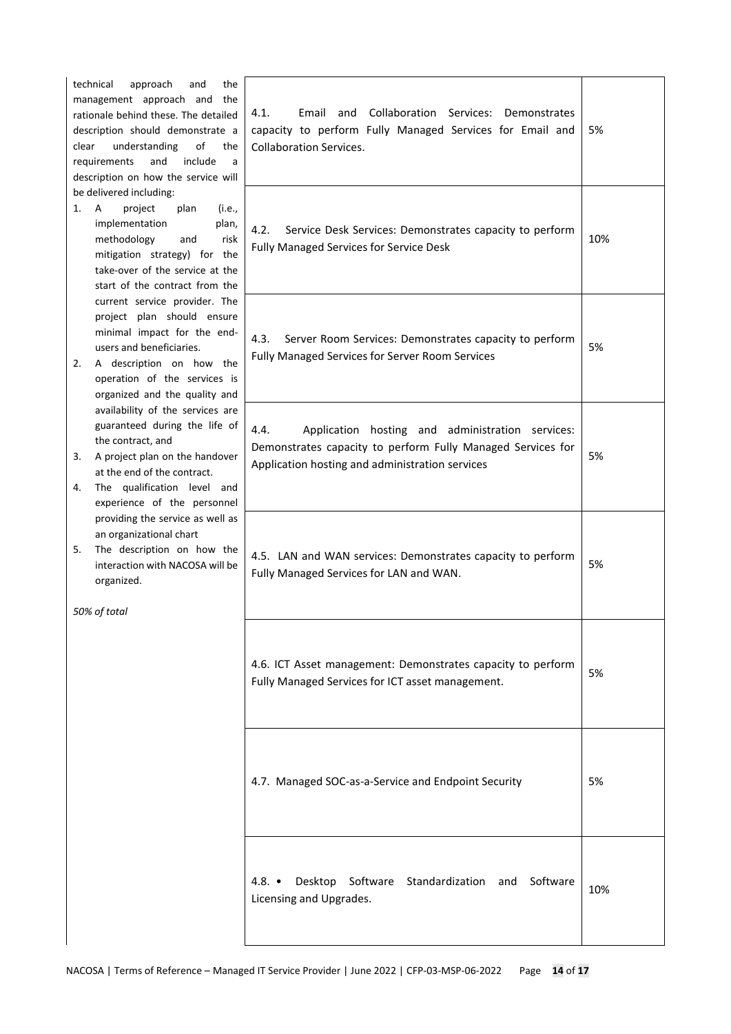| technical<br>approach<br>and<br>the<br>management approach and<br>the<br>rationale behind these. The detailed<br>description should demonstrate a<br>understanding<br>of<br>clear<br>the<br>requirements<br>and<br>include<br>a<br>description on how the service will | 4.1.<br>Collaboration Services: Demonstrates<br>Email and<br>capacity to perform Fully Managed Services for Email and<br><b>Collaboration Services.</b>                    | 5%  |
|------------------------------------------------------------------------------------------------------------------------------------------------------------------------------------------------------------------------------------------------------------------------|----------------------------------------------------------------------------------------------------------------------------------------------------------------------------|-----|
| be delivered including:<br>project<br>1.<br>A<br>plan<br>(i.e.,<br>implementation<br>plan,<br>methodology<br>and<br>risk<br>mitigation strategy) for the<br>take-over of the service at the<br>start of the contract from the                                          | 4.2.<br>Service Desk Services: Demonstrates capacity to perform<br>Fully Managed Services for Service Desk                                                                 | 10% |
| current service provider. The<br>project plan should ensure<br>minimal impact for the end-<br>users and beneficiaries.<br>A description on how the<br>2.<br>operation of the services is<br>organized and the quality and                                              | 4.3.<br>Server Room Services: Demonstrates capacity to perform<br>Fully Managed Services for Server Room Services                                                          | 5%  |
| availability of the services are<br>guaranteed during the life of<br>the contract, and<br>A project plan on the handover<br>3.<br>at the end of the contract.<br>The qualification level and<br>4.<br>experience of the personnel                                      | Application hosting and administration services:<br>4.4.<br>Demonstrates capacity to perform Fully Managed Services for<br>Application hosting and administration services | 5%  |
| providing the service as well as<br>an organizational chart<br>The description on how the<br>5.<br>interaction with NACOSA will be<br>organized.<br>50% of total                                                                                                       | 4.5. LAN and WAN services: Demonstrates capacity to perform<br>Fully Managed Services for LAN and WAN.                                                                     | 5%  |
|                                                                                                                                                                                                                                                                        | 4.6. ICT Asset management: Demonstrates capacity to perform<br>Fully Managed Services for ICT asset management.                                                            | 5%  |
|                                                                                                                                                                                                                                                                        | 4.7. Managed SOC-as-a-Service and Endpoint Security                                                                                                                        | 5%  |
|                                                                                                                                                                                                                                                                        | 4.8. $\bullet$<br>Desktop Software Standardization and<br>Software<br>Licensing and Upgrades.                                                                              | 10% |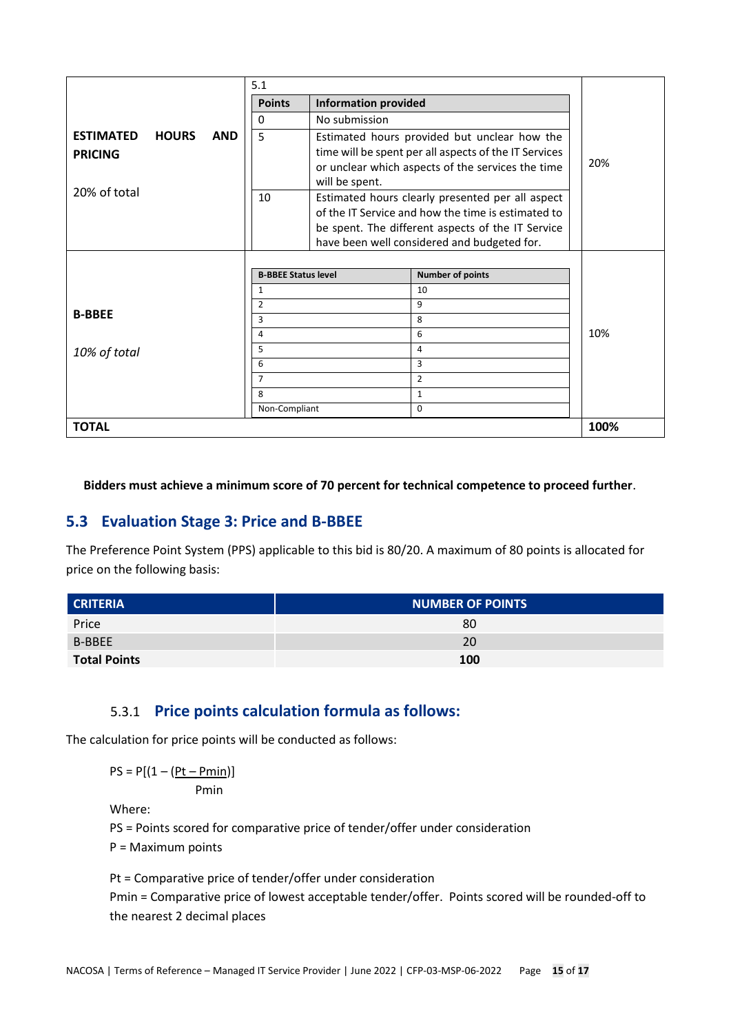|                  |              |            | 5.1                        |                             |                                                       |      |
|------------------|--------------|------------|----------------------------|-----------------------------|-------------------------------------------------------|------|
|                  |              |            | <b>Points</b>              | <b>Information provided</b> |                                                       |      |
|                  |              |            | $\Omega$                   | No submission               |                                                       |      |
| <b>ESTIMATED</b> | <b>HOURS</b> | <b>AND</b> | 5                          |                             | Estimated hours provided but unclear how the          |      |
| <b>PRICING</b>   |              |            |                            |                             | time will be spent per all aspects of the IT Services |      |
|                  |              |            |                            |                             | or unclear which aspects of the services the time     | 20%  |
|                  |              |            |                            | will be spent.              |                                                       |      |
| 20% of total     |              |            | 10                         |                             | Estimated hours clearly presented per all aspect      |      |
|                  |              |            |                            |                             | of the IT Service and how the time is estimated to    |      |
|                  |              |            |                            |                             | be spent. The different aspects of the IT Service     |      |
|                  |              |            |                            |                             | have been well considered and budgeted for.           |      |
|                  |              |            |                            |                             |                                                       |      |
|                  |              |            | <b>B-BBEE Status level</b> |                             | <b>Number of points</b>                               |      |
|                  |              |            | 1                          |                             | 10                                                    |      |
| <b>B-BBEE</b>    |              |            | 2                          |                             | 9                                                     |      |
|                  |              |            | 3                          |                             | 8                                                     |      |
|                  |              |            | 4                          |                             | 6                                                     | 10%  |
| 10% of total     |              |            | 5                          |                             | 4                                                     |      |
|                  |              |            | 6                          |                             | 3                                                     |      |
|                  |              |            | $\overline{7}$             |                             | $\overline{2}$                                        |      |
|                  |              |            | 8                          |                             | $\mathbf{1}$                                          |      |
|                  |              |            | Non-Compliant              |                             | $\mathbf 0$                                           |      |
| <b>TOTAL</b>     |              |            |                            |                             |                                                       | 100% |

**Bidders must achieve a minimum score of 70 percent for technical competence to proceed further**.

## <span id="page-14-0"></span>**5.3 Evaluation Stage 3: Price and B-BBEE**

The Preference Point System (PPS) applicable to this bid is 80/20. A maximum of 80 points is allocated for price on the following basis:

| <b>CRITERIA</b>     | <b>NUMBER OF POINTS</b> |
|---------------------|-------------------------|
| Price               | 80                      |
| B-BBEE              | 20                      |
| <b>Total Points</b> | 100                     |

## 5.3.1 **Price points calculation formula as follows:**

The calculation for price points will be conducted as follows:

 $PS = P[(1 - (Pt - Pmin))]$ 

Pmin

Where:

PS = Points scored for comparative price of tender/offer under consideration

P = Maximum points

Pt = Comparative price of tender/offer under consideration Pmin = Comparative price of lowest acceptable tender/offer. Points scored will be rounded-off to the nearest 2 decimal places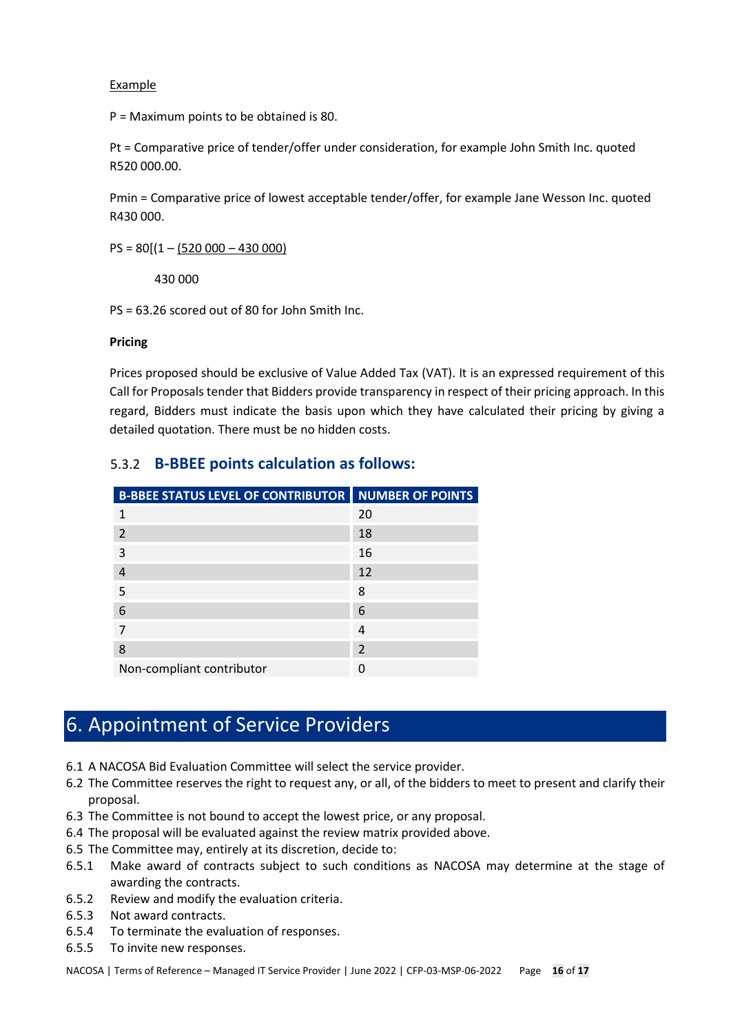Example

P = Maximum points to be obtained is 80.

Pt = Comparative price of tender/offer under consideration, for example John Smith Inc. quoted R520 000.00.

Pmin = Comparative price of lowest acceptable tender/offer, for example Jane Wesson Inc. quoted R430 000.

 $PS = 80[(1 - (520000 - 430000)]$ 

430 000

PS = 63.26 scored out of 80 for John Smith Inc.

#### **Pricing**

Prices proposed should be exclusive of Value Added Tax (VAT). It is an expressed requirement of this Call for Proposals tender that Bidders provide transparency in respect of their pricing approach. In this regard, Bidders must indicate the basis upon which they have calculated their pricing by giving a detailed quotation. There must be no hidden costs.

| <b>B-BBEE STATUS LEVEL OF CONTRIBUTOR  </b> | <b>NUMBER OF POINTS</b> |
|---------------------------------------------|-------------------------|
| 1                                           | 20                      |
| $\overline{\phantom{a}}$                    | 18                      |
| 3                                           | 16                      |
| $\overline{4}$                              | 12                      |
| 5                                           | 8                       |
| 6                                           | 6                       |
| 7                                           | 4                       |
| 8                                           | $\overline{2}$          |
| Non-compliant contributor                   | O                       |

### 5.3.2 **B-BBEE points calculation as follows:**

## <span id="page-15-0"></span>6. Appointment of Service Providers

- 6.1 A NACOSA Bid Evaluation Committee will select the service provider.
- 6.2 The Committee reserves the right to request any, or all, of the bidders to meet to present and clarify their proposal.
- 6.3 The Committee is not bound to accept the lowest price, or any proposal.
- 6.4 The proposal will be evaluated against the review matrix provided above.
- 6.5 The Committee may, entirely at its discretion, decide to:
- 6.5.1 Make award of contracts subject to such conditions as NACOSA may determine at the stage of awarding the contracts.
- 6.5.2 Review and modify the evaluation criteria.
- 6.5.3 Not award contracts.
- 6.5.4 To terminate the evaluation of responses.
- 6.5.5 To invite new responses.

NACOSA | Terms of Reference – Managed IT Service Provider | June 2022 | CFP-03-MSP-06-2022 Page **16** of **17**